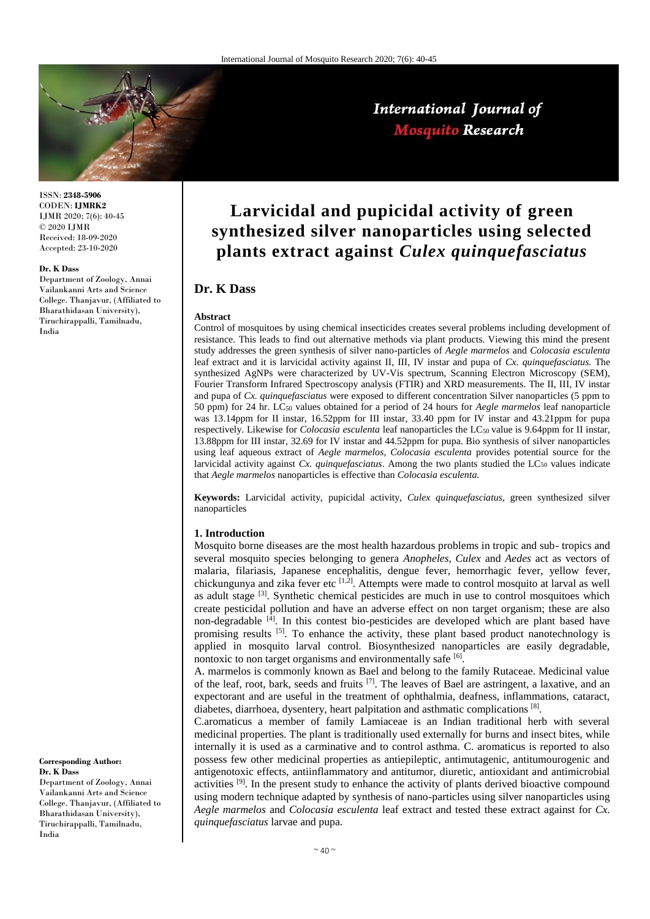

International Journal of **Mosquito Research** 

ISSN: **2348-5906** CODEN: **IJMRK2** IJMR 2020; 7(6): 40-45 © 2020 IJMR Received: 18-09-2020 Accepted: 23-10-2020

### **Dr. K Dass**

Department of Zoology, Annai Vailankanni Arts and Science College. Thanjavur, (Affiliated to Bharathidasan University), Tiruchirappalli, Tamilnadu, India

# **Larvicidal and pupicidal activity of green synthesized silver nanoparticles using selected plants extract against** *Culex quinquefasciatus*

# **Dr. K Dass**

## **Abstract**

Control of mosquitoes by using chemical insecticides creates several problems including development of resistance. This leads to find out alternative methods via plant products. Viewing this mind the present study addresses the green synthesis of silver nano-particles of *Aegle marmelos* and *Colocasia esculenta* leaf extract and it is larvicidal activity against II, III, IV instar and pupa of *Cx. quinquefasciatus.* The synthesized AgNPs were characterized by UV-Vis spectrum, Scanning Electron Microscopy (SEM), Fourier Transform Infrared Spectroscopy analysis (FTIR) and XRD measurements. The II, III, IV instar and pupa of *Cx. quinquefasciatus* were exposed to different concentration Silver nanoparticles (5 ppm to 50 ppm) for 24 hr. LC<sup>50</sup> values obtained for a period of 24 hours for *Aegle marmelos* leaf nanoparticle was 13.14ppm for II instar, 16.52ppm for III instar, 33.40 ppm for IV instar and 43.21ppm for pupa respectively. Likewise for *Colocasia esculenta* leaf nanoparticles the LC50 value is 9.64ppm for II instar, 13.88ppm for III instar, 32.69 for IV instar and 44.52ppm for pupa. Bio synthesis of silver nanoparticles using leaf aqueous extract of *Aegle marmelos, Colocasia esculenta* provides potential source for the larvicidal activity against *Cx. quinquefasciatus*. Among the two plants studied the LC<sub>50</sub> values indicate that *Aegle marmelos* nanoparticles is effective than *Colocasia esculenta.*

**Keywords:** Larvicidal activity, pupicidal activity, *Culex quinquefasciatus,* green synthesized silver nanoparticles

## **1. Introduction**

Mosquito borne diseases are the most health hazardous problems in tropic and sub- tropics and several mosquito species belonging to genera *Anopheles, Culex* and *Aedes* act as vectors of malaria, filariasis, Japanese encephalitis, dengue fever, hemorrhagic fever, yellow fever, chickungunya and zika fever etc  $[1,2]$ . Attempts were made to control mosquito at larval as well as adult stage  $[3]$ . Synthetic chemical pesticides are much in use to control mosquitoes which create pesticidal pollution and have an adverse effect on non target organism; these are also non-degradable [4]. In this contest bio-pesticides are developed which are plant based have promising results  $[5]$ . To enhance the activity, these plant based product nanotechnology is applied in mosquito larval control. Biosynthesized nanoparticles are easily degradable, nontoxic to non target organisms and environmentally safe [6].

A. marmelos is commonly known as Bael and belong to the family Rutaceae. Medicinal value of the leaf, root, bark, seeds and fruits <sup>[7]</sup>. The leaves of Bael are astringent, a laxative, and an expectorant and are useful in the treatment of ophthalmia, deafness, inflammations, cataract, diabetes, diarrhoea, dysentery, heart palpitation and asthmatic complications [8] .

C.aromaticus a member of family Lamiaceae is an Indian traditional herb with several medicinal properties. The plant is traditionally used externally for burns and insect bites, while internally it is used as a carminative and to control asthma. C. aromaticus is reported to also possess few other medicinal properties as antiepileptic, antimutagenic, antitumourogenic and antigenotoxic effects, antiinflammatory and antitumor, diuretic, antioxidant and antimicrobial activities  $[9]$ . In the present study to enhance the activity of plants derived bioactive compound using modern technique adapted by synthesis of nano-particles using silver nanoparticles using *Aegle marmelos* and *Colocasia esculenta* leaf extract and tested these extract against for *Cx. quinquefasciatus* larvae and pupa.

#### **Corresponding Author: Dr. K Dass**

Department of Zoology, Annai Vailankanni Arts and Science College. Thanjavur, (Affiliated to Bharathidasan University), Tiruchirappalli, Tamilnadu, India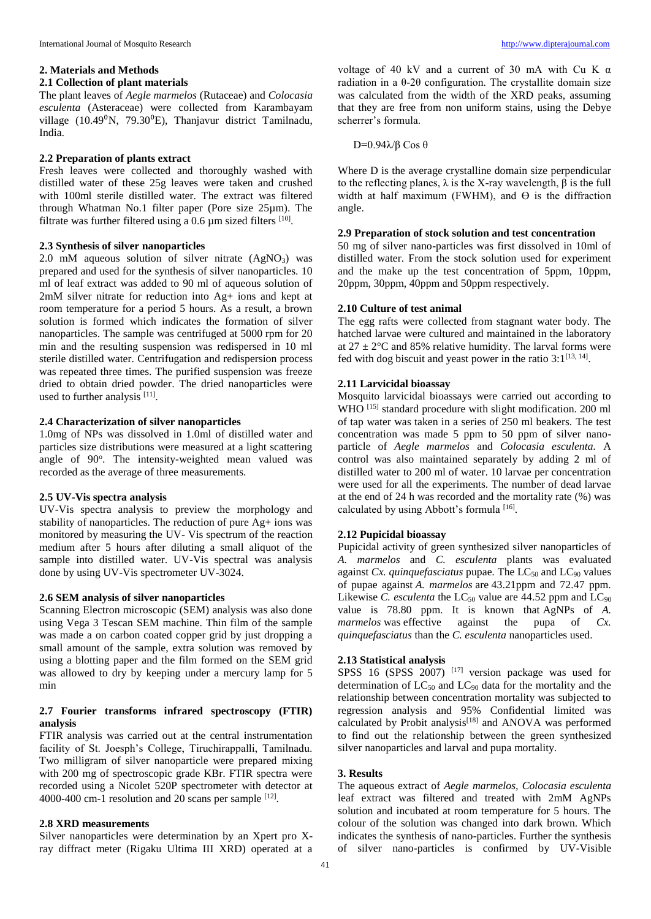## **2. Materials and Methods**

# **2.1 Collection of plant materials**

The plant leaves of *Aegle marmelos* (Rutaceae) and *Colocasia esculenta* (Asteraceae) were collected from Karambayam village  $(10.49^{\circ}N, 79.30^{\circ}E)$ , Thanjavur district Tamilnadu, India.

## **2.2 Preparation of plants extract**

Fresh leaves were collected and thoroughly washed with distilled water of these 25g leaves were taken and crushed with 100ml sterile distilled water. The extract was filtered through Whatman No.1 filter paper (Pore size 25µm). The filtrate was further filtered using a  $0.6 \mu$ m sized filters [10].

# **2.3 Synthesis of silver nanoparticles**

2.0 mM aqueous solution of silver nitrate  $(AgNO<sub>3</sub>)$  was prepared and used for the synthesis of silver nanoparticles. 10 ml of leaf extract was added to 90 ml of aqueous solution of 2mM silver nitrate for reduction into Ag+ ions and kept at room temperature for a period 5 hours. As a result, a brown solution is formed which indicates the formation of silver nanoparticles. The sample was centrifuged at 5000 rpm for 20 min and the resulting suspension was redispersed in 10 ml sterile distilled water. Centrifugation and redispersion process was repeated three times. The purified suspension was freeze dried to obtain dried powder. The dried nanoparticles were used to further analysis [11].

# **2.4 Characterization of silver nanoparticles**

1.0mg of NPs was dissolved in 1.0ml of distilled water and particles size distributions were measured at a light scattering angle of 90°. The intensity-weighted mean valued was recorded as the average of three measurements.

# **2.5 UV-Vis spectra analysis**

UV-Vis spectra analysis to preview the morphology and stability of nanoparticles. The reduction of pure Ag+ ions was monitored by measuring the UV- Vis spectrum of the reaction medium after 5 hours after diluting a small aliquot of the sample into distilled water. UV-Vis spectral was analysis done by using UV-Vis spectrometer UV-3024.

# **2.6 SEM analysis of silver nanoparticles**

Scanning Electron microscopic (SEM) analysis was also done using Vega 3 Tescan SEM machine. Thin film of the sample was made a on carbon coated copper grid by just dropping a small amount of the sample, extra solution was removed by using a blotting paper and the film formed on the SEM grid was allowed to dry by keeping under a mercury lamp for 5 min

# **2.7 Fourier transforms infrared spectroscopy (FTIR) analysis**

FTIR analysis was carried out at the central instrumentation facility of St. Joesph's College, Tiruchirappalli, Tamilnadu. Two milligram of silver nanoparticle were prepared mixing with 200 mg of spectroscopic grade KBr. FTIR spectra were recorded using a Nicolet 520P spectrometer with detector at 4000-400 cm-1 resolution and 20 scans per sample  $[12]$ .

# **2.8 XRD measurements**

Silver nanoparticles were determination by an Xpert pro Xray diffract meter (Rigaku Ultima III XRD) operated at a voltage of 40 kV and a current of 30 mA with Cu K  $\alpha$ radiation in a θ-2θ configuration. The crystallite domain size was calculated from the width of the XRD peaks, assuming that they are free from non uniform stains, using the Debye scherrer's formula.

D=0.94λ/β Cos θ

Where D is the average crystalline domain size perpendicular to the reflecting planes,  $\lambda$  is the X-ray wavelength,  $\beta$  is the full width at half maximum (FWHM), and  $\Theta$  is the diffraction angle.

## **2.9 Preparation of stock solution and test concentration**

50 mg of silver nano-particles was first dissolved in 10ml of distilled water. From the stock solution used for experiment and the make up the test concentration of 5ppm, 10ppm, 20ppm, 30ppm, 40ppm and 50ppm respectively.

# **2.10 Culture of test animal**

The egg rafts were collected from stagnant water body. The hatched larvae were cultured and maintained in the laboratory at  $27 \pm 2$ °C and 85% relative humidity. The larval forms were fed with dog biscuit and yeast power in the ratio  $3:1^{[13, 14]}$ .

# **2.11 Larvicidal bioassay**

Mosquito larvicidal bioassays were carried out according to WHO<sup>[15]</sup> standard procedure with slight modification. 200 ml of tap water was taken in a series of 250 ml beakers. The test concentration was made 5 ppm to 50 ppm of silver nanoparticle of *Aegle marmelos* and *Colocasia esculenta.* A control was also maintained separately by adding 2 ml of distilled water to 200 ml of water. 10 larvae per concentration were used for all the experiments. The number of dead larvae at the end of 24 h was recorded and the mortality rate (%) was calculated by using Abbott's formula [16].

## **2.12 Pupicidal bioassay**

Pupicidal activity of green synthesized silver nanoparticles of *A. marmelos* and *C. esculenta* plants was evaluated against *Cx. quinquefasciatus* pupae. The LC<sub>50</sub> and LC<sub>90</sub> values of pupae against *A. marmelos* are 43.21ppm and 72.47 ppm. Likewise *C. esculenta* the  $LC_{50}$  value are 44.52 ppm and  $LC_{90}$ value is 78.80 ppm. It is known that AgNPs of *A. marmelos* was effective against the pupa of *Cx. quinquefasciatus* than the *C. esculenta* nanoparticles used.

# **2.13 Statistical analysis**

SPSS 16 (SPSS 2007)  $[17]$  version package was used for determination of  $LC_{50}$  and  $LC_{90}$  data for the mortality and the relationship between concentration mortality was subjected to regression analysis and 95% Confidential limited was calculated by Probit analysis<sup>[18]</sup> and ANOVA was performed to find out the relationship between the green synthesized silver nanoparticles and larval and pupa mortality.

# **3. Results**

The aqueous extract of *Aegle marmelos, Colocasia esculenta*  leaf extract was filtered and treated with 2mM AgNPs solution and incubated at room temperature for 5 hours. The colour of the solution was changed into dark brown. Which indicates the synthesis of nano-particles. Further the synthesis of silver nano-particles is confirmed by UV-Visible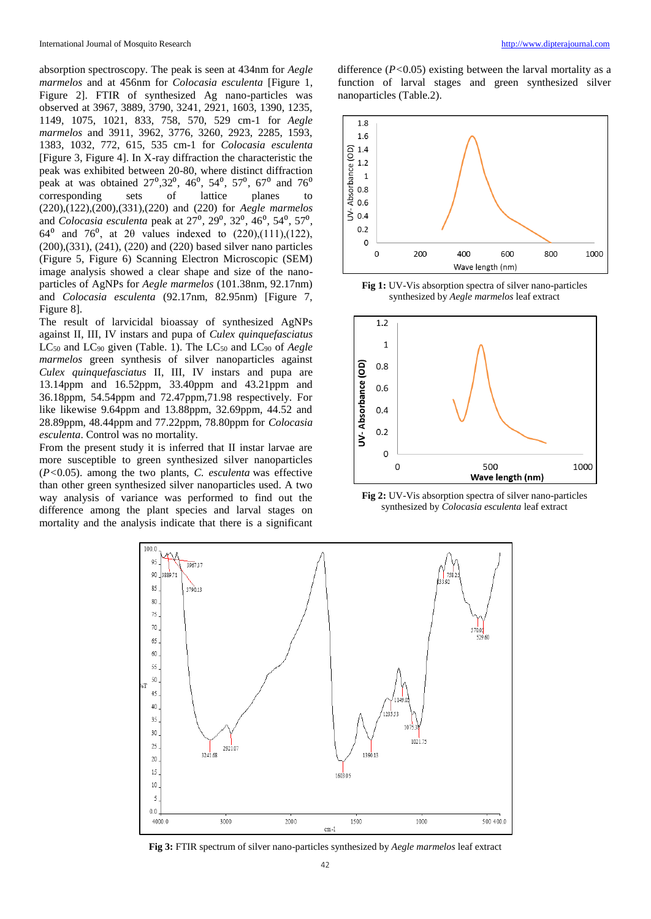absorption spectroscopy. The peak is seen at 434nm for *Aegle marmelos* and at 456nm for *Colocasia esculenta* [Figure 1, Figure 2]. FTIR of synthesized Ag nano-particles was observed at 3967, 3889, 3790, 3241, 2921, 1603, 1390, 1235, 1149, 1075, 1021, 833, 758, 570, 529 cm-1 for *Aegle marmelos* and 3911, 3962, 3776, 3260, 2923, 2285, 1593, 1383, 1032, 772, 615, 535 cm-1 for *Colocasia esculenta* [Figure 3, Figure 4]. In X-ray diffraction the characteristic the peak was exhibited between 20-80, where distinct diffraction peak at was obtained  $27^{\circ},32^{\circ}, 46^{\circ}, 54^{\circ}, 57^{\circ}, 67^{\circ}$  and  $76^{\circ}$ corresponding sets of lattice planes to (220),(122),(200),(331),(220) and (220) for *Aegle marmelos* and *Colocasia esculenta* peak at 27⁰, 29⁰, 32⁰, 46⁰, 54⁰, 57⁰, 64<sup>0</sup> and 76<sup>0</sup>, at 2 $\theta$  values indexed to (220),(111),(122), (200),(331), (241), (220) and (220) based silver nano particles (Figure 5, Figure 6) Scanning Electron Microscopic (SEM) image analysis showed a clear shape and size of the nanoparticles of AgNPs for *Aegle marmelos* (101.38nm, 92.17nm) and *Colocasia esculenta* (92.17nm, 82.95nm) [Figure 7, Figure 8].

The result of larvicidal bioassay of synthesized AgNPs against II, III, IV instars and pupa of *Culex quinquefasciatus* LC<sub>50</sub> and LC<sub>90</sub> given (Table. 1). The LC<sub>50</sub> and LC<sub>90</sub> of *Aegle marmelos* green synthesis of silver nanoparticles against *Culex quinquefasciatus* II, III, IV instars and pupa are 13.14ppm and 16.52ppm, 33.40ppm and 43.21ppm and 36.18ppm, 54.54ppm and 72.47ppm,71.98 respectively. For like likewise 9.64ppm and 13.88ppm, 32.69ppm, 44.52 and 28.89ppm, 48.44ppm and 77.22ppm, 78.80ppm for *Colocasia esculenta*. Control was no mortality.

From the present study it is inferred that II instar larvae are more susceptible to green synthesized silver nanoparticles (*P<*0.05). among the two plants, *C. esculenta* was effective than other green synthesized silver nanoparticles used. A two way analysis of variance was performed to find out the difference among the plant species and larval stages on mortality and the analysis indicate that there is a significant difference (*P<*0.05) existing between the larval mortality as a function of larval stages and green synthesized silver nanoparticles (Table.2).



**Fig 1:** UV-Vis absorption spectra of silver nano-particles synthesized by *Aegle marmelos* leaf extract



**Fig 2:** UV-Vis absorption spectra of silver nano-particles synthesized by *Colocasia esculenta* leaf extract



**Fig 3:** FTIR spectrum of silver nano-particles synthesized by *Aegle marmelos* leaf extract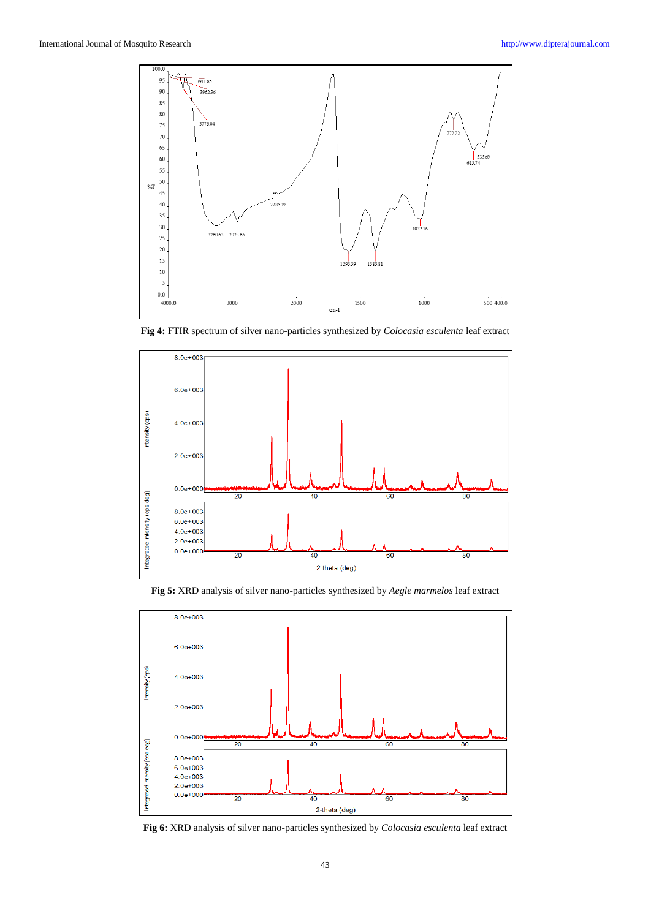

**Fig 4:** FTIR spectrum of silver nano-particles synthesized by *Colocasia esculenta* leaf extract



**Fig 5:** XRD analysis of silver nano-particles synthesized by *Aegle marmelos* leaf extract



**Fig 6:** XRD analysis of silver nano-particles synthesized by *Colocasia esculenta* leaf extract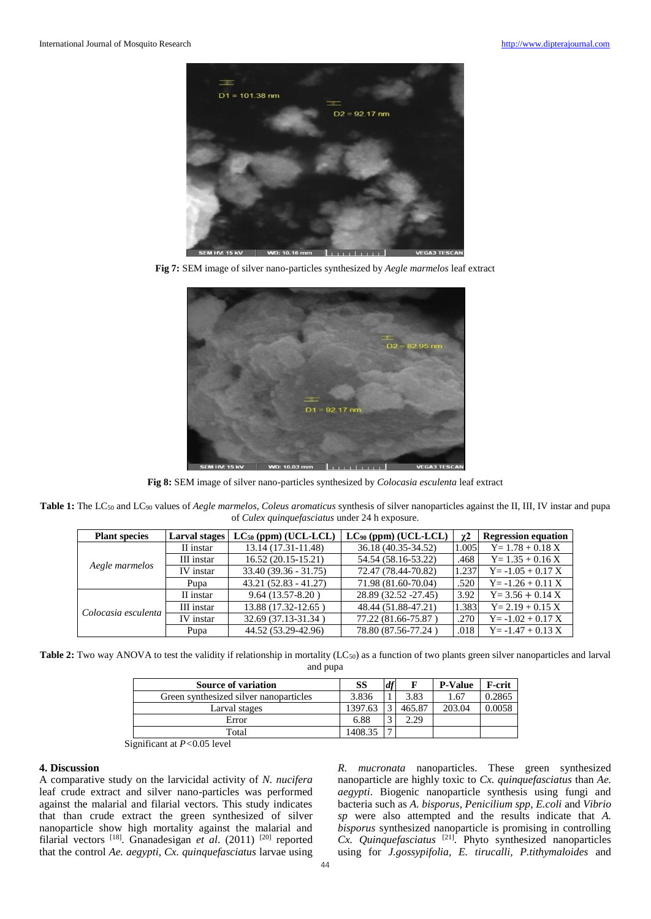

**Fig 7:** SEM image of silver nano-particles synthesized by *Aegle marmelos* leaf extract



**Fig 8:** SEM image of silver nano-particles synthesized by *Colocasia esculenta* leaf extract

Table 1: The LC<sub>50</sub> and LC<sub>90</sub> values of *Aegle marmelos, Coleus aromaticus* synthesis of silver nanoparticles against the II, III, IV instar and pupa of *Culex quinquefasciatus* under 24 h exposure.

| <b>Plant species</b> | <b>Larval stages</b> | $LC_{50}$ (ppm) (UCL-LCL) | $LC_{90}$ (ppm) (UCL-LCL) | $\gamma$ 2 | <b>Regression equation</b> |
|----------------------|----------------------|---------------------------|---------------------------|------------|----------------------------|
| Aegle marmelos       | II instar            | 13.14 (17.31-11.48)       | 36.18 (40.35-34.52)       | 1.005      | $Y = 1.78 + 0.18 X$        |
|                      | III instar           | $16.52(20.15-15.21)$      | 54.54 (58.16-53.22)       | .468       | $Y = 1.35 + 0.16 X$        |
|                      | IV instar            | $33.40(39.36 - 31.75)$    | 72.47 (78.44-70.82)       | 1.237      | $Y = -1.05 + 0.17 X$       |
|                      | Pupa                 | $43.21(52.83 - 41.27)$    | 71.98 (81.60-70.04)       | .520       | $Y = -1.26 + 0.11 X$       |
| Colocasia esculenta  | II instar            | $9.64(13.57 - 8.20)$      | 28.89 (32.52 - 27.45)     | 3.92       | $Y = 3.56 + 0.14 X$        |
|                      | III instar           | 13.88 (17.32-12.65)       | 48.44 (51.88-47.21)       | 1.383      | $Y = 2.19 + 0.15 X$        |
|                      | IV instar            | 32.69 (37.13-31.34)       | 77.22 (81.66-75.87)       | .270       | $Y = -1.02 + 0.17 X$       |
|                      | Pupa                 | 44.52 (53.29-42.96)       | 78.80 (87.56-77.24)       | .018       | $Y = -1.47 + 0.13 X$       |

**Table 2:** Two way ANOVA to test the validity if relationship in mortality (LC<sub>50</sub>) as a function of two plants green silver nanoparticles and larval and pupa

| <b>Source of variation</b>             | SS      | df |        | <b>P-Value</b> | F-crit |
|----------------------------------------|---------|----|--------|----------------|--------|
| Green synthesized silver nanoparticles | 3.836   |    | 3.83   | 1.67           | 0.2865 |
| Larval stages                          | 1397.63 |    | 465.87 | 203.04         | 0.0058 |
| Error                                  | 6.88    |    | 2.29   |                |        |
| Total                                  | 408.35  |    |        |                |        |

Significant at *P<*0.05 level

## **4. Discussion**

A comparative study on the larvicidal activity of *N. nucifera* leaf crude extract and silver nano-particles was performed against the malarial and filarial vectors. This study indicates that than crude extract the green synthesized of silver nanoparticle show high mortality against the malarial and filarial vectors [18]. Gnanadesigan *et al*. (2011) [20] reported that the control *Ae. aegypti*, *Cx. quinquefasciatus* larvae using

*R. mucronata* nanoparticles. These green synthesized nanoparticle are highly toxic to *Cx. quinquefasciatus* than *Ae. aegypti*. Biogenic nanoparticle synthesis using fungi and bacteria such as *A. bisporus, Penicilium spp, E.coli* and *Vibrio sp* were also attempted and the results indicate that *A. bisporus* synthesized nanoparticle is promising in controlling *Cx. Quinquefasciatus* [21]. Phyto synthesized nanoparticles using for *J.gossypifolia, E. tirucalli, P.tithymaloides* and